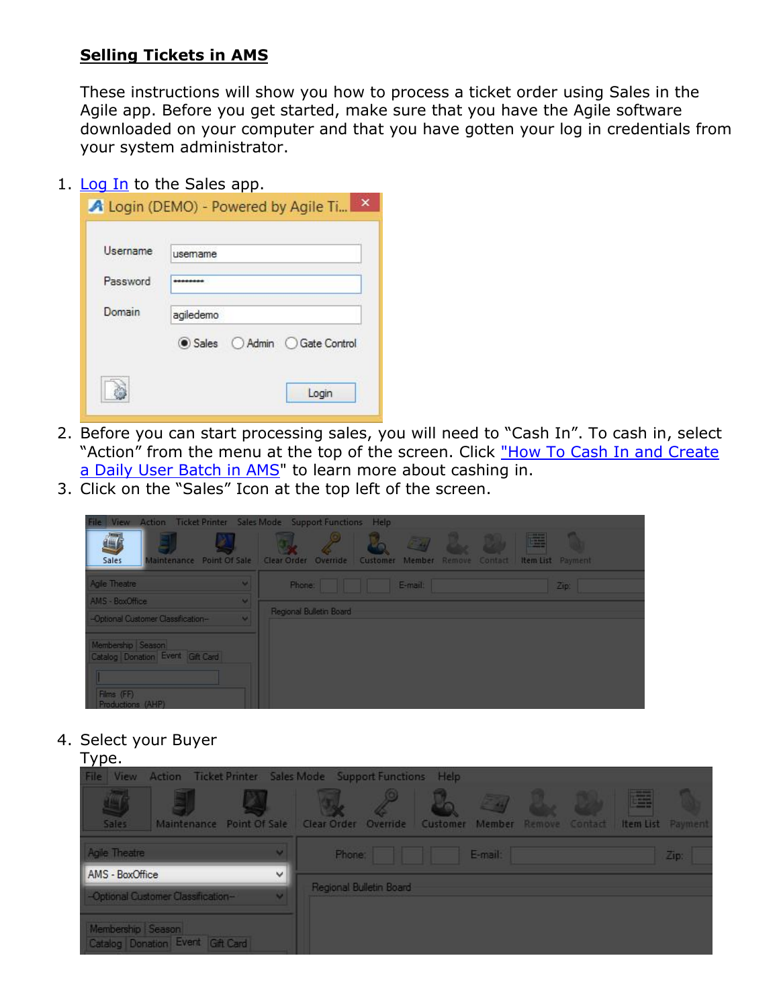## **Selling Tickets in AMS**

These instructions will show you how to process a ticket order using Sales in the Agile app. Before you get started, make sure that you have the Agile software downloaded on your computer and that you have gotten your log in credentials from your system administrator.

## 1. [Log In](https://agiletix.zendesk.com/hc/en-us/articles/200617005-Log-In) to the Sales app.

| Username | usemame                  |
|----------|--------------------------|
| Password |                          |
| Domain   | agiledemo                |
|          | Sales Admin Gate Control |

- 2. Before you can start processing sales, you will need to "Cash In". To cash in, select "Action" from the menu at the top of the screen. Click ["How To Cash In and Create](https://agiletix.zendesk.com/hc/en-us/articles/204319670-How-to-Cash-In-and-create-a-Daily-User-Batch-in-AMS)  [a Daily User Batch in AMS"](https://agiletix.zendesk.com/hc/en-us/articles/204319670-How-to-Cash-In-and-create-a-Daily-User-Batch-in-AMS) to learn more about cashing in.
- 3. Click on the "Sales" Icon at the top left of the screen.

| View Action Ticket Printer Sales Mode Support Functions Help<br>File                     |          |                         |         |                                |                        |  |
|------------------------------------------------------------------------------------------|----------|-------------------------|---------|--------------------------------|------------------------|--|
| E<br>Sales<br>Maintenance Point Of Sale                                                  | I9       | Clear Order Override    | $E_{H}$ | Customer Member Remove Contact | 醒<br>Item List Payment |  |
| Agile Theatre                                                                            | $\sim$   | Phone:                  | E-mail: |                                | Zip:                   |  |
| AMS - BoxOffice                                                                          | <b>M</b> |                         |         |                                |                        |  |
| -Optional Customer Classification-                                                       | $\sim$   | Regional Bulletin Board |         |                                |                        |  |
| Membership Season<br>Catalog Donation Event Gift Card<br>Films (FF)<br>Productions (AHP) |          |                         |         |                                |                        |  |

## 4. Select your Buyer

| Type.                                                             |                                                                                |                           |
|-------------------------------------------------------------------|--------------------------------------------------------------------------------|---------------------------|
| File View Action Ticket Printer Sales Mode Support Functions Help |                                                                                |                           |
| Maintenance Point Of Sale<br>Sales                                | <b>CONTRACTOR</b><br>Clear Order Override<br>Member Remove Contact<br>Customer | E<br>Item List<br>Payment |
| Agile Theatre<br>u                                                | Phone:<br>E-mail:                                                              | Zip:                      |
| AMS - BoxOffice<br>v                                              |                                                                                |                           |
| -Optional Customer Classification-<br>u                           | Regional Bulletin Board                                                        |                           |
| Membership Season<br>Catalog Donation Event Gift Card             |                                                                                |                           |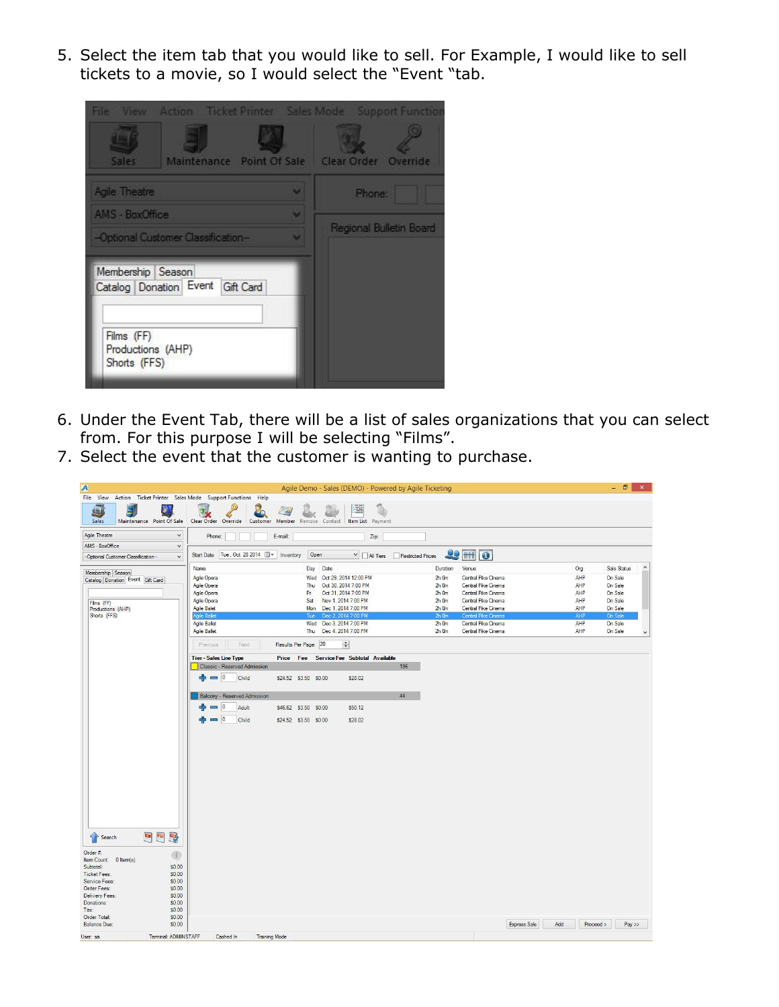5. Select the item tab that you would like to sell. For Example, I would like to sell tickets to a movie, so I would select the "Event "tab.



- 6. Under the Event Tab, there will be a list of sales organizations that you can select from. For this purpose I will be selecting "Films".
- 7. Select the event that the customer is wanting to purchase.

| A                                                                                    |                                   |                                                                                                |                              |                                    |                                 |      | Agile Demo - Sales (DEMO) - Powered by Agile Ticketing                                                           |                   |                                                     |                                                                                                                        |              |     |                                 | - 8                                                 | $\mathbf{x}$ |
|--------------------------------------------------------------------------------------|-----------------------------------|------------------------------------------------------------------------------------------------|------------------------------|------------------------------------|---------------------------------|------|------------------------------------------------------------------------------------------------------------------|-------------------|-----------------------------------------------------|------------------------------------------------------------------------------------------------------------------------|--------------|-----|---------------------------------|-----------------------------------------------------|--------------|
| File View Action Ticket Printer Sales Mode Support Functions Help<br>山<br>Ę<br>Sales | B<br>Maintenance Point Of Sale    | Clear Order Override                                                                           |                              | $\epsilon$<br>ю<br>Customer Member | Remove Contact                  |      | Ξ<br>Item List Payment                                                                                           |                   |                                                     |                                                                                                                        |              |     |                                 |                                                     |              |
| Agile Theatre                                                                        | $\checkmark$                      | Phone:                                                                                         |                              | E-mail:                            |                                 |      | Zip:                                                                                                             |                   |                                                     |                                                                                                                        |              |     |                                 |                                                     |              |
| AMS - BoxOffice<br>-Optional Customer Classification-                                | $\checkmark$<br>$\checkmark$      |                                                                                                | Start Date Tue, Oct 28 2014  | Inventory                          |                                 | Open | $\vee$ $\Box$ All Tiers                                                                                          | Restricted Prices |                                                     | $29$ $\overline{m}$ $\overline{0}$                                                                                     |              |     |                                 |                                                     |              |
| Membership Season<br>Catalog Donation Event Gift Card                                |                                   | Name<br>Agile Opera<br>Agile Opera                                                             |                              |                                    | Day<br>Wed<br>Thu               | Date | Oct 29, 2014 12:00 PM<br>Oct 30, 2014 7:00 PM                                                                    |                   | Duration<br>$2h$ Om<br>$2h$ Om                      | Venue<br>Central Pike Cinema<br>Central Pike Cinema                                                                    |              |     | Org<br>AHP<br>AHP               | Sale Status<br>On Sale<br>On Sale                   | $\land$      |
| Films (FF)<br>Productions (AHP)<br>Shorts (FFS)                                      |                                   | Agile Opera<br>Agile Opera<br><b>Agile Balet</b><br><b>Agile Ballet</b><br><b>Agile Ballet</b> |                              |                                    | Fri<br>Sat<br>Mon<br>Tue<br>Wed |      | Oct 31, 2014 7:00 PM<br>Nov 1, 2014 7:00 PM<br>Dec 1, 2014 7:00 PM<br>Dec 2, 2014 7:00 PM<br>Dec 3, 2014 7:00 PM |                   | $2h$ Om<br>$2h$ Om<br>$2h$ Om<br>$2h$ 0m<br>$2h$ Om | Central Pike Cinema<br>Central Pike Cinema<br>Central Pike Cinema<br><b>Central Pike Cinema</b><br>Central Pike Cinema |              |     | AHP<br>AHP<br>AHP<br>AHP<br>AHP | On Sale<br>On Sale<br>On Sale<br>On Sale<br>On Sale |              |
|                                                                                      |                                   | <b>Agile Ballet</b>                                                                            |                              |                                    | Thu                             |      | Dec 4, 2014 7:00 PM                                                                                              |                   | $2h$ Om                                             | Central Pike Cinema                                                                                                    |              |     | AHP                             | On Sale                                             | $\checkmark$ |
|                                                                                      |                                   | Previous                                                                                       | Next                         |                                    | Results Per Page: 20            |      | $\div$                                                                                                           |                   |                                                     |                                                                                                                        |              |     |                                 |                                                     |              |
|                                                                                      |                                   | <b>Tier-Sales Line Type</b>                                                                    | Classic - Reserved Admission |                                    |                                 |      | Price Fee Service Fee Subtotal Available                                                                         | 196               |                                                     |                                                                                                                        |              |     |                                 |                                                     |              |
|                                                                                      |                                   | $= 0$                                                                                          | Child                        |                                    | \$24.52 \$3.50 \$0.00           |      | \$28.02                                                                                                          |                   |                                                     |                                                                                                                        |              |     |                                 |                                                     |              |
|                                                                                      |                                   |                                                                                                | Balcony - Reserved Admission |                                    |                                 |      |                                                                                                                  | 44                |                                                     |                                                                                                                        |              |     |                                 |                                                     |              |
|                                                                                      |                                   |                                                                                                | $\overline{0}$<br>Adult      |                                    | \$46.62 \$3.50 \$0.00           |      | \$50.12                                                                                                          |                   |                                                     |                                                                                                                        |              |     |                                 |                                                     |              |
|                                                                                      |                                   |                                                                                                | $\overline{0}$<br>Child      |                                    | \$24.52 \$3.50 \$0.00           |      | \$28.02                                                                                                          |                   |                                                     |                                                                                                                        |              |     |                                 |                                                     |              |
|                                                                                      |                                   |                                                                                                |                              |                                    |                                 |      |                                                                                                                  |                   |                                                     |                                                                                                                        |              |     |                                 |                                                     |              |
|                                                                                      |                                   |                                                                                                |                              |                                    |                                 |      |                                                                                                                  |                   |                                                     |                                                                                                                        |              |     |                                 |                                                     |              |
|                                                                                      |                                   |                                                                                                |                              |                                    |                                 |      |                                                                                                                  |                   |                                                     |                                                                                                                        |              |     |                                 |                                                     |              |
|                                                                                      |                                   |                                                                                                |                              |                                    |                                 |      |                                                                                                                  |                   |                                                     |                                                                                                                        |              |     |                                 |                                                     |              |
|                                                                                      |                                   |                                                                                                |                              |                                    |                                 |      |                                                                                                                  |                   |                                                     |                                                                                                                        |              |     |                                 |                                                     |              |
| Search                                                                               | $\overline{\mathbf{e}}$<br>5<br>E |                                                                                                |                              |                                    |                                 |      |                                                                                                                  |                   |                                                     |                                                                                                                        |              |     |                                 |                                                     |              |
| Order #:<br>Item Count: 0 Item(s)<br>Subtotal:                                       | (4)<br>\$0.00                     |                                                                                                |                              |                                    |                                 |      |                                                                                                                  |                   |                                                     |                                                                                                                        |              |     |                                 |                                                     |              |
| Ticket Fees:<br>Service Fees:                                                        | \$0.00<br>\$0.00                  |                                                                                                |                              |                                    |                                 |      |                                                                                                                  |                   |                                                     |                                                                                                                        |              |     |                                 |                                                     |              |
| Order Fees:<br>Delivery Fees:                                                        | \$0.00<br>\$0.00                  |                                                                                                |                              |                                    |                                 |      |                                                                                                                  |                   |                                                     |                                                                                                                        |              |     |                                 |                                                     |              |
| Donations:<br>Tax:                                                                   | \$0.00<br>\$0.00                  |                                                                                                |                              |                                    |                                 |      |                                                                                                                  |                   |                                                     |                                                                                                                        |              |     |                                 |                                                     |              |
| Order Total:<br>Balance Due:                                                         | \$0.00<br>\$0.00                  |                                                                                                |                              |                                    |                                 |      |                                                                                                                  |                   |                                                     |                                                                                                                        | Express Sale | Add | Proceed >                       | Pay                                                 |              |
| User: sa                                                                             | Terminal: ADMINSTAFF              |                                                                                                | Cashed In                    | <b>Training Mode</b>               |                                 |      |                                                                                                                  |                   |                                                     |                                                                                                                        |              |     |                                 |                                                     |              |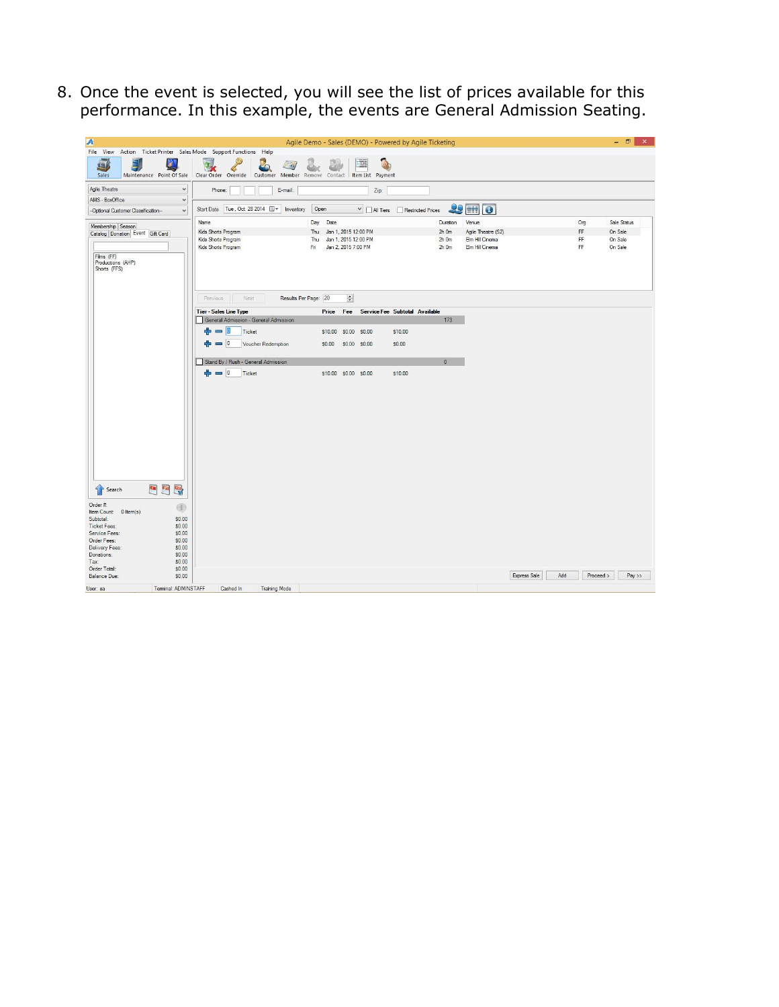8. Once the event is selected, you will see the list of prices available for this performance. In this example, the events are General Admission Seating.

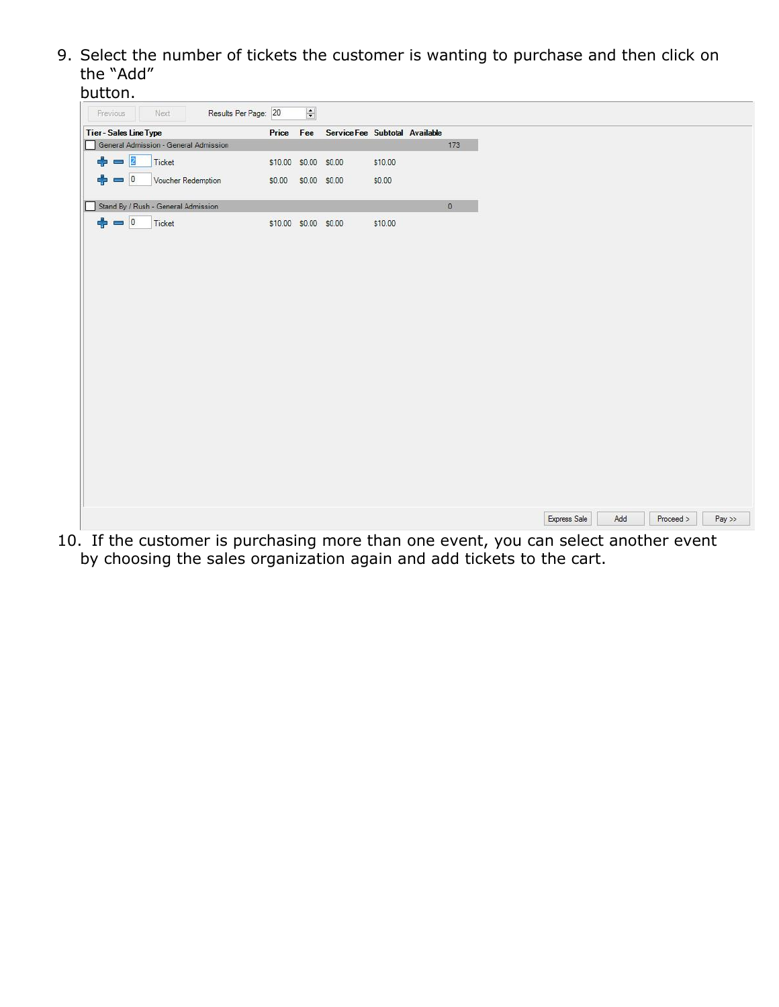9. Select the number of tickets the customer is wanting to purchase and then click on the "Add"

| button.                                                                         |        |                       |                                |         |         |  |              |     |           |           |  |
|---------------------------------------------------------------------------------|--------|-----------------------|--------------------------------|---------|---------|--|--------------|-----|-----------|-----------|--|
| Results Per Page: 20<br>Previous<br>Next                                        |        | $\left  \div \right $ |                                |         |         |  |              |     |           |           |  |
| <b>Tier - Sales Line Type</b>                                                   | Price  | Fee                   | Service Fee Subtotal Available |         |         |  |              |     |           |           |  |
| General Admission - General Admission                                           |        |                       |                                |         | 173     |  |              |     |           |           |  |
| $= 2$<br>Ticket<br>÷                                                            |        | \$10.00 \$0.00 \$0.00 |                                | \$10.00 |         |  |              |     |           |           |  |
| $= 0$<br>Voucher Redemption<br>52                                               | \$0.00 | \$0.00 \$0.00         |                                | \$0.00  |         |  |              |     |           |           |  |
| Stand By / Rush - General Admission                                             |        |                       |                                |         | $\circ$ |  |              |     |           |           |  |
| $\frac{1}{\sqrt{2}}$<br>Ticket                                                  |        | \$10.00 \$0.00 \$0.00 |                                | \$10.00 |         |  |              |     |           |           |  |
|                                                                                 |        |                       |                                |         |         |  |              |     |           |           |  |
|                                                                                 |        |                       |                                |         |         |  |              |     |           |           |  |
|                                                                                 |        |                       |                                |         |         |  |              |     |           |           |  |
|                                                                                 |        |                       |                                |         |         |  |              |     |           |           |  |
|                                                                                 |        |                       |                                |         |         |  |              |     |           |           |  |
|                                                                                 |        |                       |                                |         |         |  |              |     |           |           |  |
|                                                                                 |        |                       |                                |         |         |  |              |     |           |           |  |
|                                                                                 |        |                       |                                |         |         |  |              |     |           |           |  |
|                                                                                 |        |                       |                                |         |         |  |              |     |           |           |  |
|                                                                                 |        |                       |                                |         |         |  |              |     |           |           |  |
|                                                                                 |        |                       |                                |         |         |  |              |     |           |           |  |
|                                                                                 |        |                       |                                |         |         |  |              |     |           |           |  |
|                                                                                 |        |                       |                                |         |         |  |              |     |           |           |  |
|                                                                                 |        |                       |                                |         |         |  |              |     |           |           |  |
|                                                                                 |        |                       |                                |         |         |  | Express Sale | Add | Proceed > | $Pay$ $>$ |  |
| If the customer is purchasing more than one event, you can select another event |        |                       |                                |         |         |  |              |     |           |           |  |

10. If the customer is purchasing more than one event, you can select another event by choosing the sales organization again and add tickets to the cart.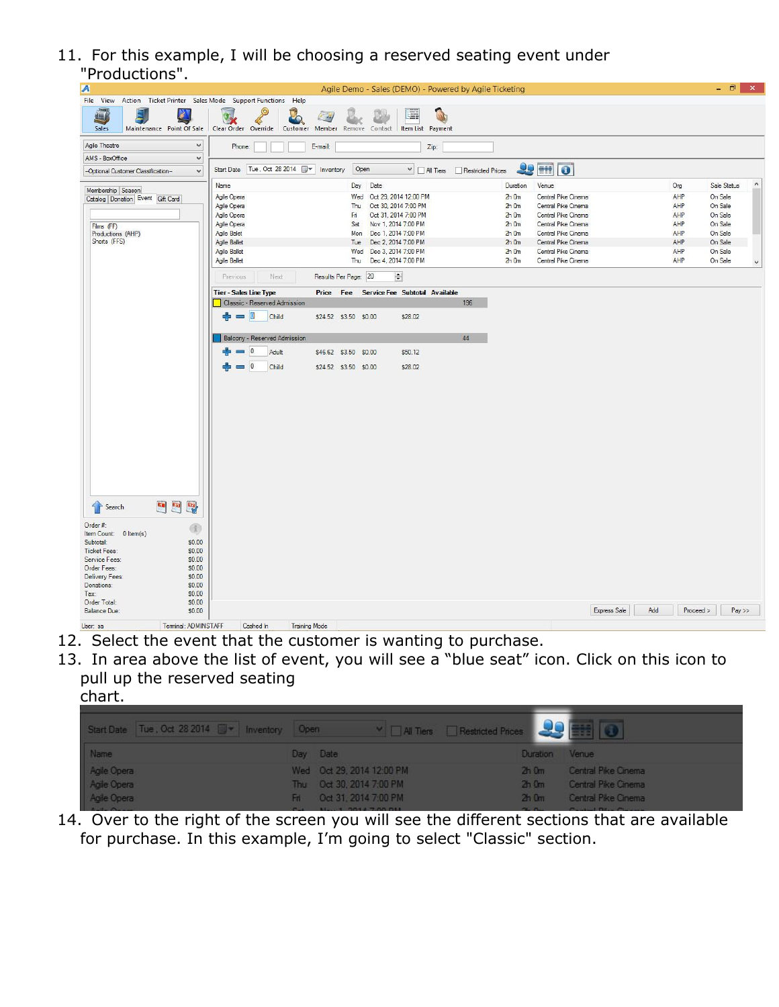11. For this example, I will be choosing a reserved seating event under "Productions".

| . .<br>uuuuu 13                                                   |                                                                                                                                                                     |            |                         |
|-------------------------------------------------------------------|---------------------------------------------------------------------------------------------------------------------------------------------------------------------|------------|-------------------------|
| A                                                                 | Agile Demo - Sales (DEMO) - Powered by Agile Ticketing                                                                                                              |            | - 0  <br>$\mathbf{x}$   |
| File View Action Ticket Printer Sales Mode Support Functions Help |                                                                                                                                                                     |            |                         |
| PX<br>Ę<br>$\Box$                                                 | 瞦<br>50                                                                                                                                                             |            |                         |
| Sales<br>Maintenance Point Of Sale                                | Clear Order Override Customer Member Remove Contact Item List Payment                                                                                               |            |                         |
|                                                                   |                                                                                                                                                                     |            |                         |
| Agile Theatre<br>$\checkmark$                                     | Phone:<br>E-mail:<br>Zip:                                                                                                                                           |            |                         |
| AMS - BoxOffice<br>$\checkmark$                                   |                                                                                                                                                                     |            |                         |
| -Optional Customer Classification-<br>$\checkmark$                | <b>29 HH O</b><br>Open<br>$\vee$ $\Box$ All Tiers<br>Restricted Prices                                                                                              |            |                         |
|                                                                   |                                                                                                                                                                     |            |                         |
| Membership Season                                                 | Name<br>Date<br>Venue<br>Day<br>Duration                                                                                                                            | Org        | $\hat{}$<br>Sale Status |
| Catalog Donation Event Gift Card                                  | Agile Opera<br>Oct 29, 2014 12:00 PM<br>Central Pike Cinema<br>Wed<br>$2h$ Om                                                                                       | AHP        | On Sale                 |
|                                                                   | Agile Opera<br>Oct 30, 2014 7:00 PM<br>$2h$ Om<br>Central Pike Cinema<br>Thu                                                                                        | AHP        | On Sale                 |
|                                                                   | Agile Opera<br>Oct 31, 2014 7:00 PM<br>$2h$ <sub>O</sub> $m$<br>Central Pike Cinema<br>Fri                                                                          | AHP        | On Sale                 |
| Films (FF)                                                        | Agile Opera<br>Nov 1, 2014 7:00 PM<br>$2h$ Om<br>Central Pike Cinema<br>Sat                                                                                         | AHP        | On Sale                 |
| Productions (AHP)<br>Shorts (FFS)                                 | <b>Agile Balet</b><br>Mon<br>Dec 1, 2014 7:00 PM<br>$2h$ Om<br>Central Pike Cinema                                                                                  | AHP        | On Sale                 |
|                                                                   | Agile Ballet<br>Dec 2, 2014 7:00 PM<br>$2h$ Om<br>Central Pike Cinema<br>Tue<br><b>Agile Ballet</b><br>Central Pike Cinema<br>Wed<br>Dec 3, 2014 7:00 PM<br>$2h$ Om | AHP<br>AHP | On Sale<br>On Sale      |
|                                                                   | Agile Ballet<br>Dec 4, 2014 7:00 PM<br>Central Pike Cinema<br>Thu<br>$2h$ Om                                                                                        | AHP        | On Sale                 |
|                                                                   |                                                                                                                                                                     |            | $\checkmark$            |
|                                                                   | Results Per Page: 20<br>÷<br>Next<br>Previous                                                                                                                       |            |                         |
|                                                                   |                                                                                                                                                                     |            |                         |
|                                                                   | <b>Tier-Sales Line Type</b><br>Price Fee Service Fee Subtotal Available                                                                                             |            |                         |
|                                                                   | Classic - Reserved Admission<br>196                                                                                                                                 |            |                         |
|                                                                   | 10<br>Child<br>\$24.52 \$3.50 \$0.00<br>\$28.02<br>$\blacksquare$                                                                                                   |            |                         |
|                                                                   |                                                                                                                                                                     |            |                         |
|                                                                   | 44<br>Balcony - Reserved Admission                                                                                                                                  |            |                         |
|                                                                   | 10                                                                                                                                                                  |            |                         |
|                                                                   | Adult<br>\$46.62 \$3.50 \$0.00<br>\$50.12                                                                                                                           |            |                         |
|                                                                   | $= 0$<br>Child<br>\$28.02<br>\$24.52 \$3.50 \$0.00                                                                                                                  |            |                         |
|                                                                   |                                                                                                                                                                     |            |                         |
|                                                                   |                                                                                                                                                                     |            |                         |
|                                                                   |                                                                                                                                                                     |            |                         |
|                                                                   |                                                                                                                                                                     |            |                         |
|                                                                   |                                                                                                                                                                     |            |                         |
|                                                                   |                                                                                                                                                                     |            |                         |
|                                                                   |                                                                                                                                                                     |            |                         |
|                                                                   |                                                                                                                                                                     |            |                         |
|                                                                   |                                                                                                                                                                     |            |                         |
|                                                                   |                                                                                                                                                                     |            |                         |
|                                                                   |                                                                                                                                                                     |            |                         |
|                                                                   |                                                                                                                                                                     |            |                         |
|                                                                   |                                                                                                                                                                     |            |                         |
|                                                                   |                                                                                                                                                                     |            |                         |
| Q.<br>$\blacksquare$<br><b>F</b> Search                           |                                                                                                                                                                     |            |                         |
| Order #:                                                          |                                                                                                                                                                     |            |                         |
| $\circledR$<br>Item Count: 0 Item(s)                              |                                                                                                                                                                     |            |                         |
| Subtotal:<br>\$0.00                                               |                                                                                                                                                                     |            |                         |
| \$0.00<br><b>Ticket Fees:</b>                                     |                                                                                                                                                                     |            |                         |
| Service Fees:<br>\$0.00                                           |                                                                                                                                                                     |            |                         |
| Order Fees:<br>\$0.00                                             |                                                                                                                                                                     |            |                         |
| \$0.00<br>Delivery Fees:                                          |                                                                                                                                                                     |            |                         |
| Donations:<br>\$0.00<br>\$0.00<br>Tax:                            |                                                                                                                                                                     |            |                         |
| Order Total:<br>\$0.00                                            |                                                                                                                                                                     |            |                         |
| <b>Balance Due:</b><br>\$0.00                                     | <b>Express Sale</b><br>Add                                                                                                                                          | Proceed >  | $Pay$ $>$               |
|                                                                   |                                                                                                                                                                     |            |                         |
| Terminal: ADMINSTAFF<br>User: sa                                  | Cashed In<br><b>Training Mode</b>                                                                                                                                   |            |                         |

- 12. Select the event that the customer is wanting to purchase.
- 13. In area above the list of event, you will see a "blue seat" icon. Click on this icon to pull up the reserved seating

| . .<br>۰. |  |
|-----------|--|
|           |  |

| Start Date Tue, Oct 28 2014 W Inventory Open | MI Tiers Restricted Prices |                |                     |
|----------------------------------------------|----------------------------|----------------|---------------------|
| Name                                         | Day Date                   | Duration Venue |                     |
| Agile Opera                                  | Wed Oct 29, 2014 12:00 PM  | $2h$ 0 $m$     | Central Pike Cinema |
| Agile Opera                                  | Thu Oct 30, 2014 7:00 PM   | $2h$ 0 $m$     | Central Pike Cinema |
| Agile Opera                                  | Fif: Oct 31, 2014 7:00 PM  | $2h$ 0 $m$     | Central Pike Cinema |

14. Over to the right of the screen you will see the different sections that are available for purchase. In this example, I'm going to select "Classic" section.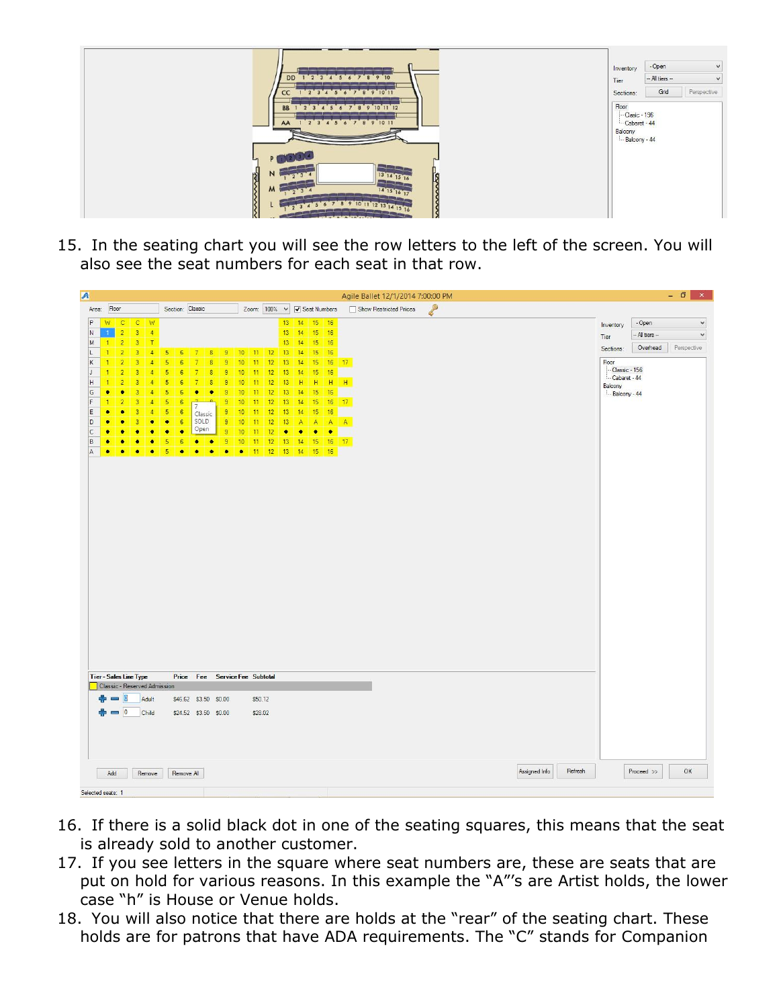

15. In the seating chart you will see the row letters to the left of the screen. You will also see the seat numbers for each seat in that row.

| A                             |                        |                                  |                     |                     |                              |                  |                        |                                |                     |                 |          |          |                     |                             |               |           |               | Agile Ballet 12/1/2014 7:00:00 PM |                         |                 | - 0<br>$\mathsf{x}$ |
|-------------------------------|------------------------|----------------------------------|---------------------|---------------------|------------------------------|------------------|------------------------|--------------------------------|---------------------|-----------------|----------|----------|---------------------|-----------------------------|---------------|-----------|---------------|-----------------------------------|-------------------------|-----------------|---------------------|
| Area:                         | Floor                  |                                  |                     |                     |                              | Section: Classic |                        |                                |                     |                 |          |          |                     | Zoom: 100% v v Beat Numbers |               |           |               | P<br>Show Restricted Prices       |                         |                 |                     |
| P                             | W                      | $\overline{C}$                   | $\overline{c}$      | <b>W</b>            |                              |                  |                        |                                |                     |                 |          |          |                     | 13 14 15 16                 |               |           |               |                                   | Inventory               | - Open          | $\checkmark$        |
| N                             | $\mathbf{1}$           | $\overline{2}$                   | $\overline{3}$      | $-4$                |                              |                  |                        |                                |                     |                 |          |          | $13 \quad 14$       |                             | 15 16         |           |               |                                   | Tier                    | -- All tiers -- | $\checkmark$        |
| M                             | $\mathbf{1}$           | $\overline{2}$                   | $\overline{3}$      | $\top$              |                              |                  |                        |                                |                     |                 |          |          | 13                  | 14                          | 15            | 16        |               |                                   | Sections:               | Overhead        | Perspective         |
| L                             | $\overline{1}$         | $\overline{2}$                   | $\overline{3}$      | $\overline{4}$      | 5                            | 6                | 7                      | 8                              | $\theta$            | 10              | $11$ 12  |          | 13                  | 14                          | 15            | 16        |               |                                   |                         |                 |                     |
| $\mathsf K$<br>J              | $\mathbf{1}$<br>-1     | $\overline{2}$<br>$\overline{2}$ | $\overline{3}$<br>ā | $\overline{4}$<br>4 | $\overline{5}$<br>5          | 6<br>6           | $\overline{7}$<br>7    | $\bf{8}$<br>$\overline{8}$     | $\overline{9}$<br>9 | 10<br>10        | 11<br>11 | 12<br>12 | 13<br>13            | 14<br>14                    | 15<br>15      | 16        | $16 \quad 17$ |                                   | Floor<br>-Classic - 156 |                 |                     |
| H                             | $\mathbf{1}$           | $\overline{2}$                   | 3                   | $\overline{4}$      | $\overline{5}$               | $6\phantom{a}$   | $\overline{7}$         | $\overline{8}$                 | $\overline{9}$      | 10              | 11       | 12       | 13                  | H                           | H             |           | $H$ $H$       |                                   | Cabaret - 44            |                 |                     |
| G                             | $\bullet$              | $\bullet$                        | $\overline{a}$      | 4                   | 5                            | $6\phantom{a}$   | ٠                      | $\bullet$                      | 9                   | 10              | 11       | 12       | 13                  | 14                          | 15            | 16        |               |                                   | Balcony<br>Balcony - 44 |                 |                     |
| F                             | 1                      | $\overline{2}$                   | $\overline{3}$      | $\overline{4}$      | $5\phantom{.0}$              | 6                | $\overline{7}$         | -0                             | 9                   | 10              | 11       | 12       | 13                  | 14                          | 15            |           | 16 17         |                                   |                         |                 |                     |
| E                             | ٠                      | ٠                                | $\overline{3}$      | $\overline{4}$      | $\overline{5}$               | 6                |                        | Classic                        | $\theta$            | 10              | 11       | 12       | 13                  | 14                          | 15            | 16        |               |                                   |                         |                 |                     |
| D                             | ۰                      | ۰                                | $\overline{3}$      | ٠                   | $\bullet$                    | 6                |                        | SOLD                           | 9                   | 10 <sup>°</sup> | 11       | 12       | 13                  | A                           | A             | $A$ $A$   |               |                                   |                         |                 |                     |
| $\mathsf{C}$                  | $\bullet$              | ×                                | ۰                   | ٠                   | ۰                            | $\bullet$        |                        | Open                           | 9                   | 10              | 11       | 12       | $\bullet$           | $\bullet$                   | $\bullet$     | <b>CO</b> |               |                                   |                         |                 |                     |
| $\,$ B<br>A                   | $\bullet$<br>$\bullet$ | $\bullet$<br>$\bullet$           | ۰<br>٠              | ٠<br>$\bullet$      | 5<br>5                       | 6<br>$\bullet$   | $\bullet$<br>$\bullet$ | $\bullet$<br>$\bullet$         | 9<br>$\bullet$      | 10<br>$\bullet$ | 11<br>11 | 12<br>12 | 13<br>$13 \quad 14$ | 14                          | 15<br>$15$ 16 |           | $16 \quad 17$ |                                   |                         |                 |                     |
|                               |                        |                                  |                     |                     |                              |                  |                        |                                |                     |                 |          |          |                     |                             |               |           |               |                                   |                         |                 |                     |
|                               |                        |                                  |                     |                     |                              |                  |                        |                                |                     |                 |          |          |                     |                             |               |           |               |                                   |                         |                 |                     |
|                               |                        |                                  |                     |                     |                              |                  |                        |                                |                     |                 |          |          |                     |                             |               |           |               |                                   |                         |                 |                     |
|                               |                        |                                  |                     |                     |                              |                  |                        |                                |                     |                 |          |          |                     |                             |               |           |               |                                   |                         |                 |                     |
|                               |                        |                                  |                     |                     |                              |                  |                        |                                |                     |                 |          |          |                     |                             |               |           |               |                                   |                         |                 |                     |
|                               |                        |                                  |                     |                     |                              |                  |                        |                                |                     |                 |          |          |                     |                             |               |           |               |                                   |                         |                 |                     |
|                               |                        |                                  |                     |                     |                              |                  |                        |                                |                     |                 |          |          |                     |                             |               |           |               |                                   |                         |                 |                     |
|                               |                        |                                  |                     |                     |                              |                  |                        |                                |                     |                 |          |          |                     |                             |               |           |               |                                   |                         |                 |                     |
|                               |                        |                                  |                     |                     |                              |                  |                        |                                |                     |                 |          |          |                     |                             |               |           |               |                                   |                         |                 |                     |
|                               |                        |                                  |                     |                     |                              |                  |                        |                                |                     |                 |          |          |                     |                             |               |           |               |                                   |                         |                 |                     |
|                               |                        |                                  |                     |                     |                              |                  |                        |                                |                     |                 |          |          |                     |                             |               |           |               |                                   |                         |                 |                     |
|                               |                        |                                  |                     |                     |                              |                  |                        |                                |                     |                 |          |          |                     |                             |               |           |               |                                   |                         |                 |                     |
|                               |                        |                                  |                     |                     |                              |                  |                        |                                |                     |                 |          |          |                     |                             |               |           |               |                                   |                         |                 |                     |
|                               |                        |                                  |                     |                     |                              |                  |                        |                                |                     |                 |          |          |                     |                             |               |           |               |                                   |                         |                 |                     |
|                               |                        |                                  |                     |                     |                              |                  |                        |                                |                     |                 |          |          |                     |                             |               |           |               |                                   |                         |                 |                     |
|                               |                        |                                  |                     |                     |                              |                  |                        |                                |                     |                 |          |          |                     |                             |               |           |               |                                   |                         |                 |                     |
|                               |                        |                                  |                     |                     |                              |                  |                        |                                |                     |                 |          |          |                     |                             |               |           |               |                                   |                         |                 |                     |
|                               |                        |                                  |                     |                     |                              |                  |                        |                                |                     |                 |          |          |                     |                             |               |           |               |                                   |                         |                 |                     |
|                               |                        |                                  |                     |                     |                              |                  |                        |                                |                     |                 |          |          |                     |                             |               |           |               |                                   |                         |                 |                     |
|                               |                        |                                  |                     |                     |                              |                  |                        |                                |                     |                 |          |          |                     |                             |               |           |               |                                   |                         |                 |                     |
| <b>Tier-Sales Line Type</b>   |                        |                                  |                     |                     |                              |                  |                        | Price Fee Service Fee Subtotal |                     |                 |          |          |                     |                             |               |           |               |                                   |                         |                 |                     |
|                               |                        |                                  |                     |                     | Classic - Reserved Admission |                  |                        |                                |                     |                 |          |          |                     |                             |               |           |               |                                   |                         |                 |                     |
|                               |                        |                                  |                     | Adult               |                              |                  |                        | \$46.62 \$3.50 \$0.00          |                     |                 | \$50.12  |          |                     |                             |               |           |               |                                   |                         |                 |                     |
|                               |                        | $\overline{0}$                   |                     | Child               |                              |                  |                        | \$24.52 \$3.50 \$0.00          |                     |                 | \$28.02  |          |                     |                             |               |           |               |                                   |                         |                 |                     |
|                               |                        |                                  |                     |                     |                              |                  |                        |                                |                     |                 |          |          |                     |                             |               |           |               |                                   |                         |                 |                     |
|                               |                        |                                  |                     |                     |                              |                  |                        |                                |                     |                 |          |          |                     |                             |               |           |               |                                   |                         |                 |                     |
|                               |                        |                                  |                     |                     |                              |                  |                        |                                |                     |                 |          |          |                     |                             |               |           |               |                                   |                         |                 |                     |
|                               |                        |                                  |                     |                     |                              |                  |                        |                                |                     |                 |          |          |                     |                             |               |           |               |                                   |                         |                 |                     |
|                               |                        |                                  |                     |                     |                              |                  |                        |                                |                     |                 |          |          |                     |                             |               |           |               | Refresh<br>Assigned Info          |                         | Proceed >>      | OK                  |
|                               | Add                    |                                  |                     | Remove              |                              | Remove All       |                        |                                |                     |                 |          |          |                     |                             |               |           |               |                                   |                         |                 |                     |
| West Constitution and Consti- |                        |                                  |                     |                     |                              |                  |                        |                                |                     |                 |          |          |                     |                             |               |           |               |                                   |                         |                 |                     |

- 16. If there is a solid black dot in one of the seating squares, this means that the seat is already sold to another customer.
- 17. If you see letters in the square where seat numbers are, these are seats that are put on hold for various reasons. In this example the "A"'s are Artist holds, the lower case "h" is House or Venue holds.
- 18. You will also notice that there are holds at the "rear" of the seating chart. These holds are for patrons that have ADA requirements. The "C" stands for Companion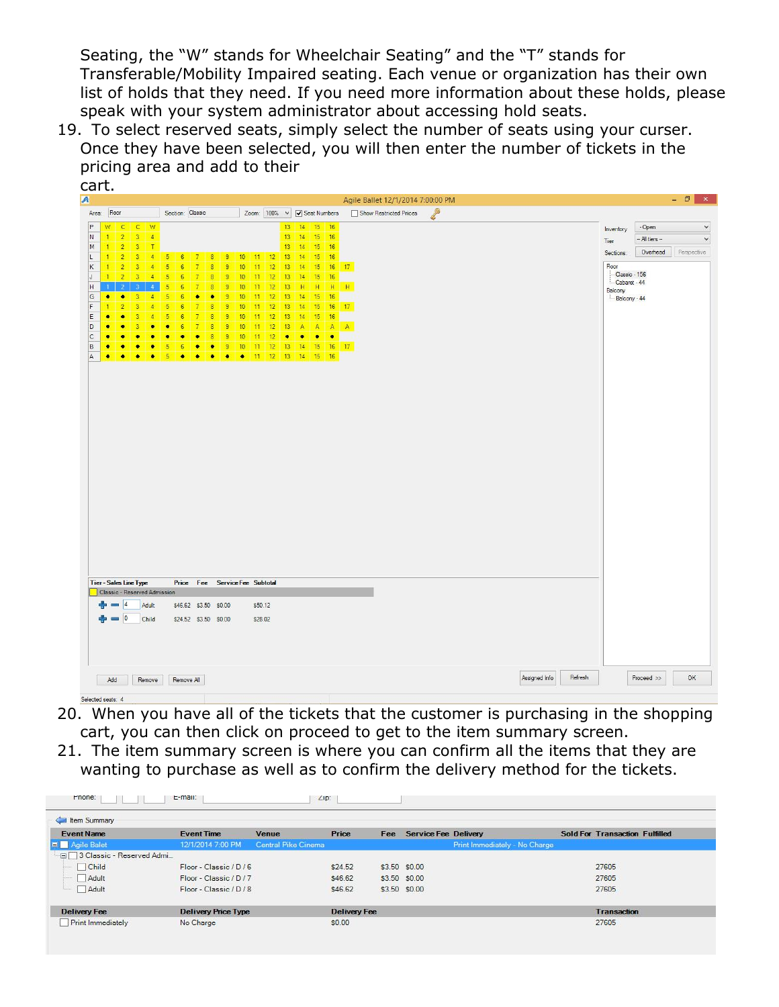Seating, the "W" stands for Wheelchair Seating" and the "T" stands for Transferable/Mobility Impaired seating. Each venue or organization has their own list of holds that they need. If you need more information about these holds, please speak with your system administrator about accessing hold seats.

19. To select reserved seats, simply select the number of seats using your curser. Once they have been selected, you will then enter the number of tickets in the pricing area and add to their

| $\overline{A}$                                                                                                           | cart.                                                 |                                  |                                |                                  |                                |                         |                |                  |               |          |          |                                |                |                             |         |                                   |   |  |               |         |                         |               |                     |
|--------------------------------------------------------------------------------------------------------------------------|-------------------------------------------------------|----------------------------------|--------------------------------|----------------------------------|--------------------------------|-------------------------|----------------|------------------|---------------|----------|----------|--------------------------------|----------------|-----------------------------|---------|-----------------------------------|---|--|---------------|---------|-------------------------|---------------|---------------------|
|                                                                                                                          |                                                       |                                  |                                |                                  |                                |                         |                |                  |               |          |          |                                |                |                             |         | Agile Ballet 12/1/2014 7:00:00 PM |   |  |               |         |                         |               | - 0<br>$\mathbf{x}$ |
| Area:                                                                                                                    | Floor                                                 |                                  |                                | Section: Classic                 |                                |                         |                |                  |               |          |          |                                |                | Zoom: 100% v v Beat Numbers |         | Show Restricted Prices            | P |  |               |         |                         |               |                     |
| P                                                                                                                        | $\mathbb{C}$<br>W                                     | $\mathsf{C}$                     | <b>M</b>                       |                                  |                                |                         |                |                  |               |          |          | 13 <sup>°</sup><br>14          | 15             | 16                          |         |                                   |   |  |               |         | Inventory               | - Open        |                     |
| $\overline{N}$                                                                                                           | $\overline{2}$<br>$\overline{1}$                      | $\overline{3}$                   | $-4$                           |                                  |                                |                         |                |                  |               |          |          | 13 <sup>°</sup><br>14          | 15             | 16                          |         |                                   |   |  |               |         | Tier                    | - All tiers - |                     |
| M                                                                                                                        | $\overline{2}$<br>$\mathbf{1}$                        | $\overline{3}$                   | $\top$                         |                                  |                                |                         |                |                  |               |          |          | 13<br>14                       | 15             | 16                          |         |                                   |   |  |               |         | Sections:               | Overhead      | Perspective         |
| L.<br>K                                                                                                                  | $\overline{2}$<br>$\mathbf{1}$<br>$\overline{2}$<br>n | $\overline{3}$<br>$\overline{3}$ | $\mathbf{A}$<br>$\overline{4}$ | $\sqrt{5}$<br>5                  | 6<br>-7<br>$\overline{6}$      | 8<br>$\overline{8}$     | 9<br>9         | 10<br>10         | $11$ 12<br>11 | 12       | 13<br>13 | 14<br>14                       | 15<br>15       | 16<br>16                    | 17      |                                   |   |  |               |         | Floor                   |               |                     |
| J                                                                                                                        | $\overline{2}$<br>81                                  | $\overline{3}$                   | $\mathbf{A}$                   | 5<br>6                           |                                | $\overline{R}$          | 9              | 10 <sub>10</sub> | 11            | 12       |          | 13 <sup>°</sup><br>14          | 15             | 16                          |         |                                   |   |  |               |         |                         | Classic - 156 |                     |
| H                                                                                                                        | 2<br>п                                                | 3                                | $\mathbf{A}$                   | $5\phantom{.0}$                  | 6<br>$\overline{7}$            | $\overline{8}$          | 9              | 10               | 11            | 12       |          | 13<br>H                        | H              |                             | $H$ $H$ |                                   |   |  |               |         | Cabaret - 44<br>Balcony |               |                     |
| G                                                                                                                        | $\bullet$<br>٠                                        | $\overline{3}$                   | $\overline{4}$                 | $\overline{5}$<br>$\overline{6}$ | $\bullet$                      | ٠                       | $\overline{9}$ | 10               | 11            | 12       | 13       | 14                             | 15             | 16                          |         |                                   |   |  |               |         | Balcony - 44            |               |                     |
| $\ensuremath{\mathsf{F}}$                                                                                                | $\overline{2}$                                        | $\overline{3}$                   | $\overline{4}$                 | $\overline{5}$                   | $\overline{7}$<br>6            | $\overline{\mathbf{8}}$ | $\overline{9}$ | 10               | 11            | 12       |          | 13<br>14                       | 15             | 16                          | 17      |                                   |   |  |               |         |                         |               |                     |
| $\mathsf{E}% _{\mathsf{H}}\left( \mathsf{E}\right) \equiv\mathsf{E}_{\mathsf{H}}\left( \mathsf{E}% _{\mathsf{H}}\right)$ | $\bullet$<br>×                                        | $\overline{3}$                   | $\Delta$                       | 5                                | $\overline{7}$<br>6            | $\overline{8}$          | 9              | 10               | 11            | 12       |          | 13 <sup>°</sup><br>14          | 15             | 16                          |         |                                   |   |  |               |         |                         |               |                     |
| D<br>$\mathsf{C}$                                                                                                        | $\bullet$<br>٠<br>٠                                   | $\overline{3}$<br>٠              | ۰<br>×                         | ٠<br>$\bullet$                   | $\overline{7}$<br>6<br>٠<br>٠  | 8<br>8                  | 9<br>9         | 10<br>10         | 11<br>11      | 12<br>12 | 13       | $\mathbf{A}$<br>٠<br>$\bullet$ | A<br>$\bullet$ | $A \mid A$<br>٠             |         |                                   |   |  |               |         |                         |               |                     |
| B                                                                                                                        | $\bullet$<br>٠                                        | ٠                                | $\bullet$                      | 5                                | 6<br>٠                         | $\bullet$               | 9              | 10 <sub>10</sub> | 11            | 12       |          | 13<br>14                       | 15             |                             | $16$ 17 |                                   |   |  |               |         |                         |               |                     |
| A                                                                                                                        | ٠<br>$\bullet$                                        | $\bullet$                        | $\bullet$                      | 5                                | $\bullet$<br>٠                 | ٠                       | ٠              | ٠                | $\vert$ 11    | 12       |          | 13 14 15                       |                | 16                          |         |                                   |   |  |               |         |                         |               |                     |
|                                                                                                                          |                                                       |                                  |                                |                                  |                                |                         |                |                  |               |          |          |                                |                |                             |         |                                   |   |  |               |         |                         |               |                     |
|                                                                                                                          |                                                       |                                  |                                |                                  |                                |                         |                |                  |               |          |          |                                |                |                             |         |                                   |   |  |               |         |                         |               |                     |
|                                                                                                                          |                                                       |                                  |                                |                                  |                                |                         |                |                  |               |          |          |                                |                |                             |         |                                   |   |  |               |         |                         |               |                     |
|                                                                                                                          |                                                       |                                  |                                |                                  |                                |                         |                |                  |               |          |          |                                |                |                             |         |                                   |   |  |               |         |                         |               |                     |
|                                                                                                                          |                                                       |                                  |                                |                                  |                                |                         |                |                  |               |          |          |                                |                |                             |         |                                   |   |  |               |         |                         |               |                     |
|                                                                                                                          |                                                       |                                  |                                |                                  |                                |                         |                |                  |               |          |          |                                |                |                             |         |                                   |   |  |               |         |                         |               |                     |
|                                                                                                                          |                                                       |                                  |                                |                                  |                                |                         |                |                  |               |          |          |                                |                |                             |         |                                   |   |  |               |         |                         |               |                     |
|                                                                                                                          |                                                       |                                  |                                |                                  |                                |                         |                |                  |               |          |          |                                |                |                             |         |                                   |   |  |               |         |                         |               |                     |
|                                                                                                                          |                                                       |                                  |                                |                                  |                                |                         |                |                  |               |          |          |                                |                |                             |         |                                   |   |  |               |         |                         |               |                     |
|                                                                                                                          |                                                       |                                  |                                |                                  |                                |                         |                |                  |               |          |          |                                |                |                             |         |                                   |   |  |               |         |                         |               |                     |
|                                                                                                                          |                                                       |                                  |                                |                                  |                                |                         |                |                  |               |          |          |                                |                |                             |         |                                   |   |  |               |         |                         |               |                     |
|                                                                                                                          |                                                       |                                  |                                |                                  |                                |                         |                |                  |               |          |          |                                |                |                             |         |                                   |   |  |               |         |                         |               |                     |
|                                                                                                                          |                                                       |                                  |                                |                                  |                                |                         |                |                  |               |          |          |                                |                |                             |         |                                   |   |  |               |         |                         |               |                     |
|                                                                                                                          |                                                       |                                  |                                |                                  |                                |                         |                |                  |               |          |          |                                |                |                             |         |                                   |   |  |               |         |                         |               |                     |
|                                                                                                                          |                                                       |                                  |                                |                                  |                                |                         |                |                  |               |          |          |                                |                |                             |         |                                   |   |  |               |         |                         |               |                     |
|                                                                                                                          |                                                       |                                  |                                |                                  |                                |                         |                |                  |               |          |          |                                |                |                             |         |                                   |   |  |               |         |                         |               |                     |
|                                                                                                                          |                                                       |                                  |                                |                                  |                                |                         |                |                  |               |          |          |                                |                |                             |         |                                   |   |  |               |         |                         |               |                     |
|                                                                                                                          |                                                       |                                  |                                |                                  |                                |                         |                |                  |               |          |          |                                |                |                             |         |                                   |   |  |               |         |                         |               |                     |
|                                                                                                                          |                                                       |                                  |                                |                                  |                                |                         |                |                  |               |          |          |                                |                |                             |         |                                   |   |  |               |         |                         |               |                     |
|                                                                                                                          |                                                       |                                  |                                |                                  |                                |                         |                |                  |               |          |          |                                |                |                             |         |                                   |   |  |               |         |                         |               |                     |
|                                                                                                                          |                                                       |                                  |                                |                                  |                                |                         |                |                  |               |          |          |                                |                |                             |         |                                   |   |  |               |         |                         |               |                     |
|                                                                                                                          |                                                       |                                  |                                |                                  |                                |                         |                |                  |               |          |          |                                |                |                             |         |                                   |   |  |               |         |                         |               |                     |
|                                                                                                                          |                                                       | <b>Tier-Sales Line Type</b>      |                                |                                  | Price Fee Service Fee Subtotal |                         |                |                  |               |          |          |                                |                |                             |         |                                   |   |  |               |         |                         |               |                     |
|                                                                                                                          |                                                       | Classic - Reserved Admission     |                                |                                  |                                |                         |                |                  |               |          |          |                                |                |                             |         |                                   |   |  |               |         |                         |               |                     |
|                                                                                                                          |                                                       |                                  | Adult                          |                                  | \$46.62 \$3.50 \$0.00          |                         |                |                  | \$50.12       |          |          |                                |                |                             |         |                                   |   |  |               |         |                         |               |                     |
|                                                                                                                          | $\sim$                                                | 10                               | Child                          |                                  | \$24.52 \$3.50 \$0.00          |                         |                |                  | \$28.02       |          |          |                                |                |                             |         |                                   |   |  |               |         |                         |               |                     |
|                                                                                                                          |                                                       |                                  |                                |                                  |                                |                         |                |                  |               |          |          |                                |                |                             |         |                                   |   |  |               |         |                         |               |                     |
|                                                                                                                          |                                                       |                                  |                                |                                  |                                |                         |                |                  |               |          |          |                                |                |                             |         |                                   |   |  |               |         |                         |               |                     |
|                                                                                                                          |                                                       |                                  |                                |                                  |                                |                         |                |                  |               |          |          |                                |                |                             |         |                                   |   |  |               |         |                         |               |                     |
|                                                                                                                          |                                                       |                                  |                                |                                  |                                |                         |                |                  |               |          |          |                                |                |                             |         |                                   |   |  |               |         |                         |               |                     |
|                                                                                                                          |                                                       |                                  |                                |                                  |                                |                         |                |                  |               |          |          |                                |                |                             |         |                                   |   |  |               |         |                         |               |                     |
|                                                                                                                          | Add                                                   |                                  | Remove                         |                                  | Remove All                     |                         |                |                  |               |          |          |                                |                |                             |         |                                   |   |  | Assigned Info | Refresh |                         | Proceed >>    | OK                  |

- 20. When you have all of the tickets that the customer is purchasing in the shopping cart, you can then click on proceed to get to the item summary screen.
- 21. The item summary screen is where you can confirm all the items that they are wanting to purchase as well as to confirm the delivery method for the tickets.

| tem Summary                 |                            |                            |                     |     |                             |                               |                                       |
|-----------------------------|----------------------------|----------------------------|---------------------|-----|-----------------------------|-------------------------------|---------------------------------------|
| <b>Event Name</b>           | <b>Event Time</b>          | Venue                      | Price               | Fee | <b>Service Fee Delivery</b> |                               | <b>Sold For Transaction Fulfilled</b> |
| Agile Balet                 | 12/1/2014 7:00 PM          | <b>Central Pike Cinema</b> |                     |     |                             | Print Immediately - No Charge |                                       |
| □ 3 Classic - Reserved Admi |                            |                            |                     |     |                             |                               |                                       |
| Child                       | Floor - Classic / D / 6    |                            | \$24.52             |     | \$3.50 \$0.00               |                               | 27605                                 |
| Adult                       | Floor - Classic / D/7      |                            | \$46.62             |     | \$3.50 \$0.00               |                               | 27605                                 |
| Adult                       | Floor - Classic / D / 8    |                            | \$46.62             |     | \$3.50 \$0.00               |                               | 27605                                 |
| <b>Delivery Fee</b>         | <b>Delivery Price Type</b> |                            | <b>Delivery Fee</b> |     |                             |                               | <b>Transaction</b>                    |
| Print Immediately           | No Charge                  |                            | \$0.00              |     |                             |                               | 27605                                 |